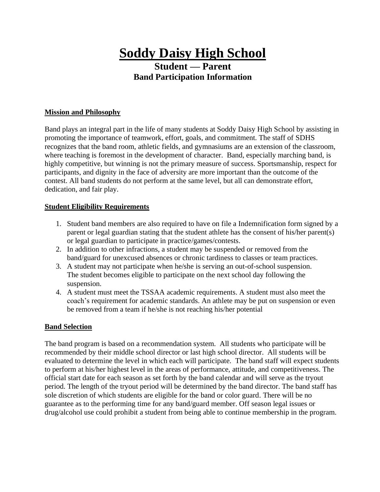# **Soddy Daisy High School**

## **Student — Parent Band Participation Information**

#### **Mission and Philosophy**

Band plays an integral part in the life of many students at Soddy Daisy High School by assisting in promoting the importance of teamwork, effort, goals, and commitment. The staff of SDHS recognizes that the band room, athletic fields, and gymnasiums are an extension of the classroom, where teaching is foremost in the development of character. Band, especially marching band, is highly competitive, but winning is not the primary measure of success. Sportsmanship, respect for participants, and dignity in the face of adversity are more important than the outcome of the contest. All band students do not perform at the same level, but all can demonstrate effort, dedication, and fair play.

#### **Student Eligibility Requirements**

- 1. Student band members are also required to have on file a Indemnification form signed by a parent or legal guardian stating that the student athlete has the consent of his/her parent(s) or legal guardian to participate in practice/games/contests.
- 2. In addition to other infractions, a student may be suspended or removed from the band/guard for unexcused absences or chronic tardiness to classes or team practices.
- 3. A student may not participate when he/she is serving an out-of-school suspension. The student becomes eligible to participate on the next school day following the suspension.
- 4. A student must meet the TSSAA academic requirements. A student must also meet the coach's requirement for academic standards. An athlete may be put on suspension or even be removed from a team if he/she is not reaching his/her potential

#### **Band Selection**

The band program is based on a recommendation system. All students who participate will be recommended by their middle school director or last high school director. All students will be evaluated to determine the level in which each will participate. The band staff will expect students to perform at his/her highest level in the areas of performance, attitude, and competitiveness. The official start date for each season as set forth by the band calendar and will serve as the tryout period. The length of the tryout period will be determined by the band director. The band staff has sole discretion of which students are eligible for the band or color guard. There will be no guarantee as to the performing time for any band/guard member. Off season legal issues or drug/alcohol use could prohibit a student from being able to continue membership in the program.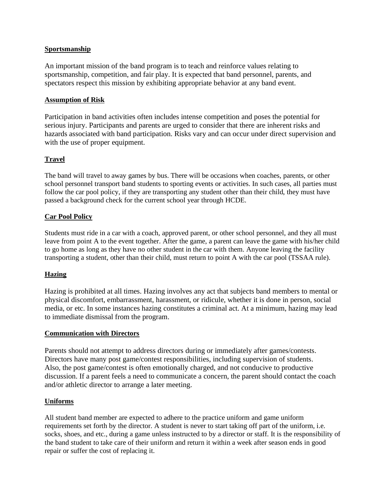#### **Sportsmanship**

An important mission of the band program is to teach and reinforce values relating to sportsmanship, competition, and fair play. It is expected that band personnel, parents, and spectators respect this mission by exhibiting appropriate behavior at any band event.

#### **Assumption of Risk**

Participation in band activities often includes intense competition and poses the potential for serious injury. Participants and parents are urged to consider that there are inherent risks and hazards associated with band participation. Risks vary and can occur under direct supervision and with the use of proper equipment.

#### **Travel**

The band will travel to away games by bus. There will be occasions when coaches, parents, or other school personnel transport band students to sporting events or activities. In such cases, all parties must follow the car pool policy, if they are transporting any student other than their child, they must have passed a background check for the current school year through HCDE.

#### **Car Pool Policy**

Students must ride in a car with a coach, approved parent, or other school personnel, and they all must leave from point A to the event together. After the game, a parent can leave the game with his/her child to go home as long as they have no other student in the car with them. Anyone leaving the facility transporting a student, other than their child, must return to point A with the car pool (TSSAA rule).

#### **Hazing**

Hazing is prohibited at all times. Hazing involves any act that subjects band members to mental or physical discomfort, embarrassment, harassment, or ridicule, whether it is done in person, social media, or etc. In some instances hazing constitutes a criminal act. At a minimum, hazing may lead to immediate dismissal from the program.

#### **Communication with Directors**

Parents should not attempt to address directors during or immediately after games/contests. Directors have many post game/contest responsibilities, including supervision of students. Also, the post game/contest is often emotionally charged, and not conducive to productive discussion. If a parent feels a need to communicate a concern, the parent should contact the coach and/or athletic director to arrange a later meeting.

#### **Uniforms**

All student band member are expected to adhere to the practice uniform and game uniform requirements set forth by the director. A student is never to start taking off part of the uniform, i.e. socks, shoes, and etc., during a game unless instructed to by a director or staff. It is the responsibility of the band student to take care of their uniform and return it within a week after season ends in good repair or suffer the cost of replacing it.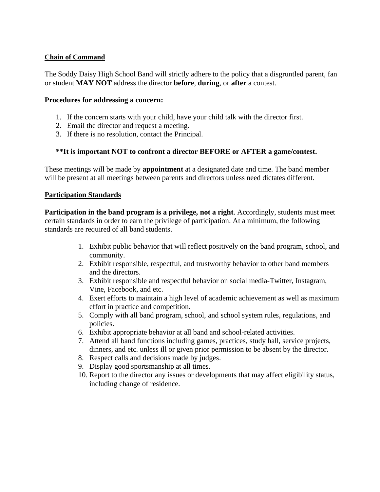#### **Chain of Command**

The Soddy Daisy High School Band will strictly adhere to the policy that a disgruntled parent, fan or student **MAY NOT** address the director **before**, **during**, or **after** a contest.

#### **Procedures for addressing a concern:**

- 1. If the concern starts with your child, have your child talk with the director first.
- 2. Email the director and request a meeting.
- 3. If there is no resolution, contact the Principal.

#### **\*\*It is important NOT to confront a director BEFORE or AFTER a game/contest.**

These meetings will be made by **appointment** at a designated date and time. The band member will be present at all meetings between parents and directors unless need dictates different.

#### **Participation Standards**

**Participation in the band program is a privilege, not a right**. Accordingly, students must meet certain standards in order to earn the privilege of participation. At a minimum, the following standards are required of all band students.

- 1. Exhibit public behavior that will reflect positively on the band program, school, and community.
- 2. Exhibit responsible, respectful, and trustworthy behavior to other band members and the directors.
- 3. Exhibit responsible and respectful behavior on social media-Twitter, Instagram, Vine, Facebook, and etc.
- 4. Exert efforts to maintain a high level of academic achievement as well as maximum effort in practice and competition.
- 5. Comply with all band program, school, and school system rules, regulations, and policies.
- 6. Exhibit appropriate behavior at all band and school-related activities.
- 7. Attend all band functions including games, practices, study hall, service projects, dinners, and etc. unless ill or given prior permission to be absent by the director.
- 8. Respect calls and decisions made by judges.
- 9. Display good sportsmanship at all times.
- 10. Report to the director any issues or developments that may affect eligibility status, including change of residence.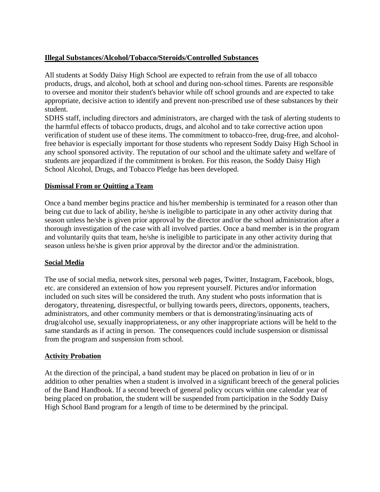#### **Illegal Substances/Alcohol/Tobacco/Steroids/Controlled Substances**

All students at Soddy Daisy High School are expected to refrain from the use of all tobacco products, drugs, and alcohol, both at school and during non-school times. Parents are responsible to oversee and monitor their student's behavior while off school grounds and are expected to take appropriate, decisive action to identify and prevent non-prescribed use of these substances by their student.

SDHS staff, including directors and administrators, are charged with the task of alerting students to the harmful effects of tobacco products, drugs, and alcohol and to take corrective action upon verification of student use of these items. The commitment to tobacco-free, drug-free, and alcoholfree behavior is especially important for those students who represent Soddy Daisy High School in any school sponsored activity. The reputation of our school and the ultimate safety and welfare of students are jeopardized if the commitment is broken. For this reason, the Soddy Daisy High School Alcohol, Drugs, and Tobacco Pledge has been developed.

#### **Dismissal From or Quitting a Team**

Once a band member begins practice and his/her membership is terminated for a reason other than being cut due to lack of ability, he/she is ineligible to participate in any other activity during that season unless he/she is given prior approval by the director and/or the school administration after a thorough investigation of the case with all involved parties. Once a band member is in the program and voluntarily quits that team, he/she is ineligible to participate in any other activity during that season unless he/she is given prior approval by the director and/or the administration.

#### **Social Media**

The use of social media, network sites, personal web pages, Twitter, Instagram, Facebook, blogs, etc. are considered an extension of how you represent yourself. Pictures and/or information included on such sites will be considered the truth. Any student who posts information that is derogatory, threatening, disrespectful, or bullying towards peers, directors, opponents, teachers, administrators, and other community members or that is demonstrating/insinuating acts of drug/alcohol use, sexually inappropriateness, or any other inappropriate actions will be held to the same standards as if acting in person. The consequences could include suspension or dismissal from the program and suspension from school.

#### **Activity Probation**

At the direction of the principal, a band student may be placed on probation in lieu of or in addition to other penalties when a student is involved in a significant breech of the general policies of the Band Handbook. If a second breech of general policy occurs within one calendar year of being placed on probation, the student will be suspended from participation in the Soddy Daisy High School Band program for a length of time to be determined by the principal.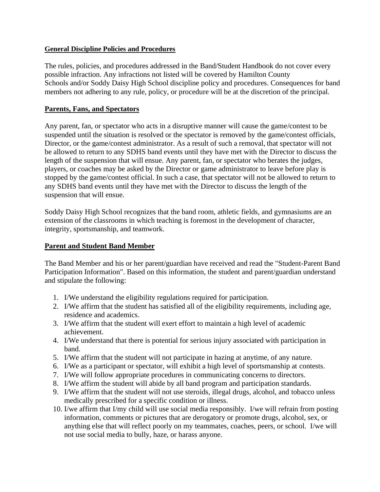#### **General Discipline Policies and Procedures**

The rules, policies, and procedures addressed in the Band/Student Handbook do not cover every possible infraction. Any infractions not listed will be covered by Hamilton County Schools and/or Soddy Daisy High School discipline policy and procedures. Consequences for band members not adhering to any rule, policy, or procedure will be at the discretion of the principal.

#### **Parents, Fans, and Spectators**

Any parent, fan, or spectator who acts in a disruptive manner will cause the game/contest to be suspended until the situation is resolved or the spectator is removed by the game/contest officials, Director, or the game/contest administrator. As a result of such a removal, that spectator will not be allowed to return to any SDHS band events until they have met with the Director to discuss the length of the suspension that will ensue. Any parent, fan, or spectator who berates the judges, players, or coaches may be asked by the Director or game administrator to leave before play is stopped by the game/contest official. In such a case, that spectator will not be allowed to return to any SDHS band events until they have met with the Director to discuss the length of the suspension that will ensue.

Soddy Daisy High School recognizes that the band room, athletic fields, and gymnasiums are an extension of the classrooms in which teaching is foremost in the development of character, integrity, sportsmanship, and teamwork.

#### **Parent and Student Band Member**

The Band Member and his or her parent/guardian have received and read the "Student-Parent Band Participation Information". Based on this information, the student and parent/guardian understand and stipulate the following:

- 1. I/We understand the eligibility regulations required for participation.
- 2. I/We affirm that the student has satisfied all of the eligibility requirements, including age, residence and academics.
- 3. I/We affirm that the student will exert effort to maintain a high level of academic achievement.
- 4. I/We understand that there is potential for serious injury associated with participation in band.
- 5. I/We affirm that the student will not participate in hazing at anytime, of any nature.
- 6. I/We as a participant or spectator, will exhibit a high level of sportsmanship at contests.
- 7. I/We will follow appropriate procedures in communicating concerns to directors.
- 8. I/We affirm the student will abide by all band program and participation standards.
- 9. I/We affirm that the student will not use steroids, illegal drugs, alcohol, and tobacco unless medically prescribed for a specific condition or illness.
- 10. I/we affirm that I/my child will use social media responsibly. I/we will refrain from posting information, comments or pictures that are derogatory or promote drugs, alcohol, sex, or anything else that will reflect poorly on my teammates, coaches, peers, or school. I/we will not use social media to bully, haze, or harass anyone.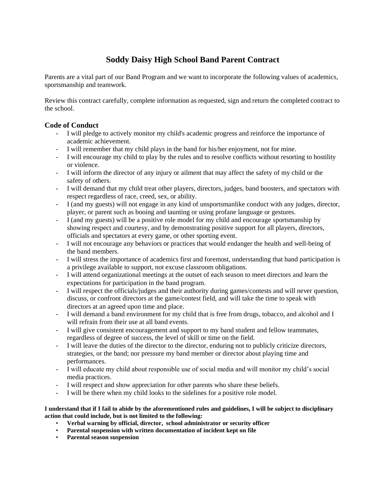### **Soddy Daisy High School Band Parent Contract**

Parents are a vital part of our Band Program and we want to incorporate the following values of academics, sportsmanship and teamwork.

Review this contract carefully, complete information as requested, sign and return the completed contract to the school.

#### **Code of Conduct**

- I will pledge to actively monitor my child's academic progress and reinforce the importance of academic achievement.
- I will remember that my child plays in the band for his/her enjoyment, not for mine.
- I will encourage my child to play by the rules and to resolve conflicts without resorting to hostility or violence.
- I will inform the director of any injury or ailment that may affect the safety of my child or the safety of others.
- I will demand that my child treat other players, directors, judges, band boosters, and spectators with respect regardless of race, creed, sex, or ability.
- I (and my guests) will not engage in any kind of unsportsmanlike conduct with any judges, director, player, or parent such as booing and taunting or using profane language or gestures.
- I (and my guests) will be a positive role model for my child and encourage sportsmanship by showing respect and courtesy, and by demonstrating positive support for all players, directors, officials and spectators at every game, or other sporting event.
- I will not encourage any behaviors or practices that would endanger the health and well-being of the band members.
- I will stress the importance of academics first and foremost, understanding that band participation is a privilege available to support, not excuse classroom obligations.
- I will attend organizational meetings at the outset of each season to meet directors and learn the expectations for participation in the band program.
- I will respect the officials/judges and their authority during games/contests and will never question, discuss, or confront directors at the game/contest field, and will take the time to speak with directors at an agreed upon time and place.
- I will demand a band environment for my child that is free from drugs, tobacco, and alcohol and I will refrain from their use at all band events.
- I will give consistent encouragement and support to my band student and fellow teammates, regardless of degree of success, the level of skill or time on the field.
- I will leave the duties of the director to the director, enduring not to publicly criticize directors, strategies, or the band; nor pressure my band member or director about playing time and performances.
- I will educate my child about responsible use of social media and will monitor my child's social media practices.
- I will respect and show appreciation for other parents who share these beliefs.
- I will be there when my child looks to the sidelines for a positive role model.

**I understand that if I fail to abide by the aforementioned rules and guidelines, I will be subject to disciplinary action that could include, but is not limited to the following:**

- **Verbal warning by official, director, school administrator or security officer**
- **Parental suspension with written documentation of incident kept on file**
- **Parental season suspension**